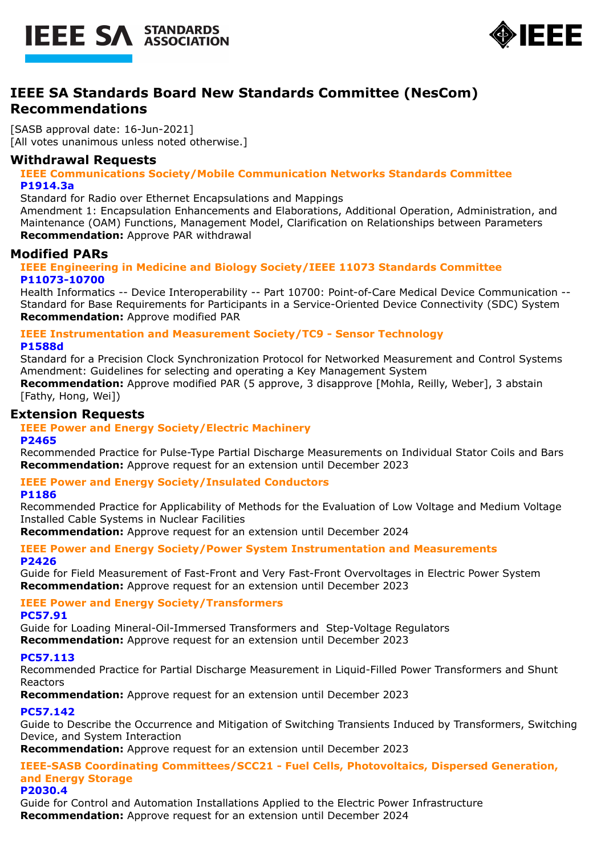



# **IEEE SA Standards Board New Standards Committee (NesCom) Recommendations**

[SASB approval date: 16-Jun-2021] [All votes unanimous unless noted otherwise.]

## **Withdrawal Requests**

**IEEE Communications Society/Mobile Communication Networks Standards Committee P1914.3a**

Standard for Radio over Ethernet Encapsulations and Mappings

Amendment 1: Encapsulation Enhancements and Elaborations, Additional Operation, Administration, and Maintenance (OAM) Functions, Management Model, Clarification on Relationships between Parameters **Recommendation:** Approve PAR withdrawal

# **Modified PARs**

#### **IEEE Engineering in Medicine and Biology Society/IEEE 11073 Standards Committee P11073-10700**

Health Informatics -- Device Interoperability -- Part 10700: Point-of-Care Medical Device Communication -- Standard for Base Requirements for Participants in a Service-Oriented Device Connectivity (SDC) System **Recommendation:** Approve modified PAR

#### **IEEE Instrumentation and Measurement Society/TC9 - Sensor Technology P1588d**

Standard for a Precision Clock Synchronization Protocol for Networked Measurement and Control Systems Amendment: Guidelines for selecting and operating a Key Management System

**Recommendation:** Approve modified PAR (5 approve, 3 disapprove [Mohla, Reilly, Weber], 3 abstain [Fathy, Hong, Wei])

# **Extension Requests**

## **IEEE Power and Energy Society/Electric Machinery**

**P2465**

Recommended Practice for Pulse-Type Partial Discharge Measurements on Individual Stator Coils and Bars **Recommendation:** Approve request for an extension until December 2023

## **IEEE Power and Energy Society/Insulated Conductors**

#### **P1186**

Recommended Practice for Applicability of Methods for the Evaluation of Low Voltage and Medium Voltage Installed Cable Systems in Nuclear Facilities

**Recommendation:** Approve request for an extension until December 2024

#### **IEEE Power and Energy Society/Power System Instrumentation and Measurements P2426**

Guide for Field Measurement of Fast-Front and Very Fast-Front Overvoltages in Electric Power System **Recommendation:** Approve request for an extension until December 2023

# **IEEE Power and Energy Society/Transformers**

**PC57.91**

Guide for Loading Mineral-Oil-Immersed Transformers and Step-Voltage Regulators **Recommendation:** Approve request for an extension until December 2023

#### **PC57.113**

Recommended Practice for Partial Discharge Measurement in Liquid-Filled Power Transformers and Shunt Reactors

**Recommendation:** Approve request for an extension until December 2023

## **PC57.142**

Guide to Describe the Occurrence and Mitigation of Switching Transients Induced by Transformers, Switching Device, and System Interaction

**Recommendation:** Approve request for an extension until December 2023

## **IEEE-SASB Coordinating Committees/SCC21 - Fuel Cells, Photovoltaics, Dispersed Generation, and Energy Storage**

#### **P2030.4**

Guide for Control and Automation Installations Applied to the Electric Power Infrastructure **Recommendation:** Approve request for an extension until December 2024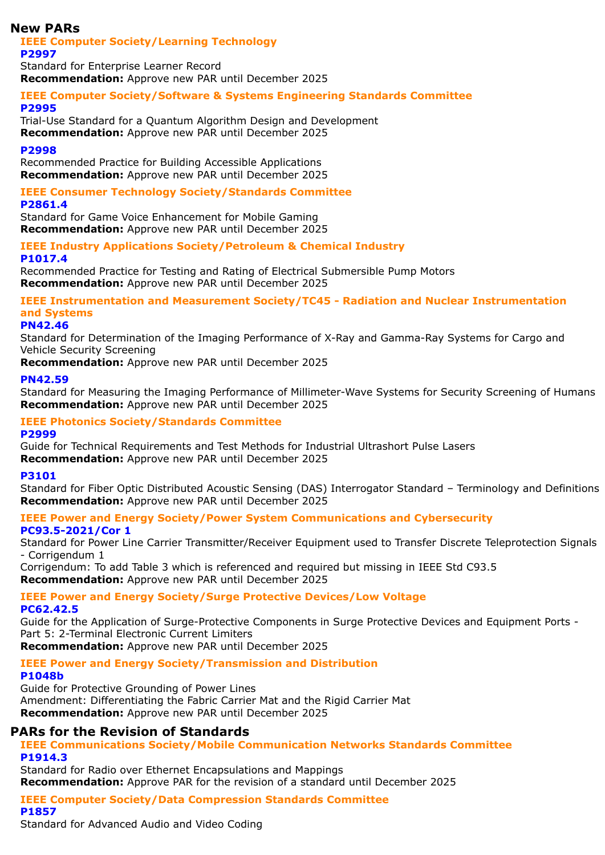# **New PARs**

# **IEEE Computer Society/Learning Technology**

**P2997**

Standard for Enterprise Learner Record **Recommendation:** Approve new PAR until December 2025

# **IEEE Computer Society/Software & Systems Engineering Standards Committee**

#### **P2995**

Trial-Use Standard for a Quantum Algorithm Design and Development **Recommendation:** Approve new PAR until December 2025

#### **P2998**

Recommended Practice for Building Accessible Applications **Recommendation:** Approve new PAR until December 2025

# **IEEE Consumer Technology Society/Standards Committee**

#### **P2861.4**

Standard for Game Voice Enhancement for Mobile Gaming **Recommendation:** Approve new PAR until December 2025

#### **IEEE Industry Applications Society/Petroleum & Chemical Industry P1017.4**

Recommended Practice for Testing and Rating of Electrical Submersible Pump Motors **Recommendation:** Approve new PAR until December 2025

# **IEEE Instrumentation and Measurement Society/TC45 - Radiation and Nuclear Instrumentation and Systems**

## **PN42.46**

Standard for Determination of the Imaging Performance of X-Ray and Gamma-Ray Systems for Cargo and Vehicle Security Screening

**Recommendation:** Approve new PAR until December 2025

#### **PN42.59**

Standard for Measuring the Imaging Performance of Millimeter-Wave Systems for Security Screening of Humans **Recommendation:** Approve new PAR until December 2025

#### **IEEE Photonics Society/Standards Committee P2999**

Guide for Technical Requirements and Test Methods for Industrial Ultrashort Pulse Lasers **Recommendation:** Approve new PAR until December 2025

## **P3101**

Standard for Fiber Optic Distributed Acoustic Sensing (DAS) Interrogator Standard – Terminology and Definitions **Recommendation:** Approve new PAR until December 2025

# **IEEE Power and Energy Society/Power System Communications and Cybersecurity**

**PC93.5-2021/Cor 1**

Standard for Power Line Carrier Transmitter/Receiver Equipment used to Transfer Discrete Teleprotection Signals - Corrigendum 1

Corrigendum: To add Table 3 which is referenced and required but missing in IEEE Std C93.5 **Recommendation:** Approve new PAR until December 2025

#### **IEEE Power and Energy Society/Surge Protective Devices/Low Voltage PC62.42.5**

Guide for the Application of Surge-Protective Components in Surge Protective Devices and Equipment Ports - Part 5: 2-Terminal Electronic Current Limiters

**Recommendation:** Approve new PAR until December 2025

## **IEEE Power and Energy Society/Transmission and Distribution**

## **P1048b**

**P1857**

Guide for Protective Grounding of Power Lines Amendment: Differentiating the Fabric Carrier Mat and the Rigid Carrier Mat **Recommendation:** Approve new PAR until December 2025

# **PARs for the Revision of Standards**

## **IEEE Communications Society/Mobile Communication Networks Standards Committee P1914.3**

Standard for Radio over Ethernet Encapsulations and Mappings **Recommendation:** Approve PAR for the revision of a standard until December 2025

# **IEEE Computer Society/Data Compression Standards Committee**

Standard for Advanced Audio and Video Coding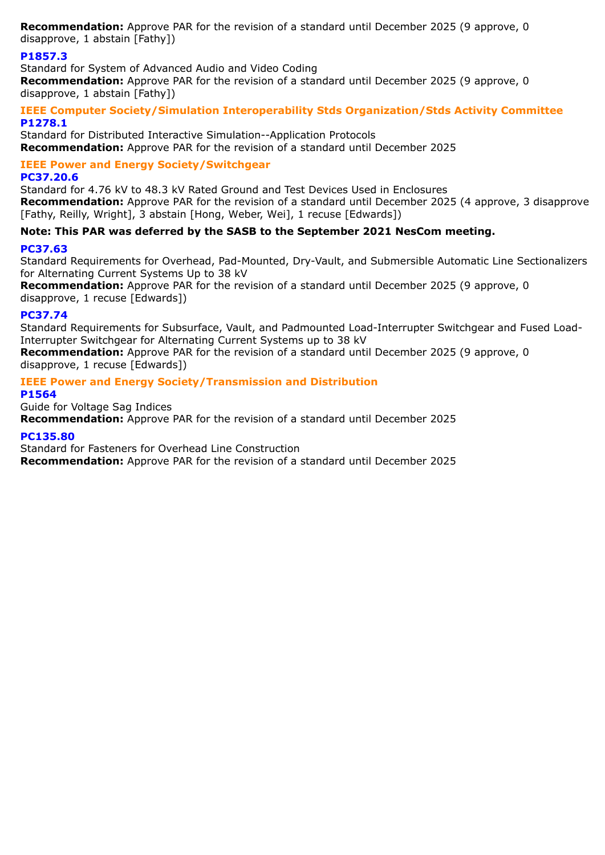**Recommendation:** Approve PAR for the revision of a standard until December 2025 (9 approve, 0 disapprove, 1 abstain [Fathy])

# **P1857.3**

Standard for System of Advanced Audio and Video Coding **Recommendation:** Approve PAR for the revision of a standard until December 2025 (9 approve, 0 disapprove, 1 abstain [Fathy])

#### **IEEE Computer Society/Simulation Interoperability Stds Organization/Stds Activity Committee P1278.1**

Standard for Distributed Interactive Simulation--Application Protocols **Recommendation:** Approve PAR for the revision of a standard until December 2025

# **IEEE Power and Energy Society/Switchgear**

#### **PC37.20.6**

Standard for 4.76 kV to 48.3 kV Rated Ground and Test Devices Used in Enclosures **Recommendation:** Approve PAR for the revision of a standard until December 2025 (4 approve, 3 disapprove [Fathy, Reilly, Wright], 3 abstain [Hong, Weber, Wei], 1 recuse [Edwards])

# **Note: This PAR was deferred by the SASB to the September 2021 NesCom meeting.**

#### **PC37.63**

Standard Requirements for Overhead, Pad-Mounted, Dry-Vault, and Submersible Automatic Line Sectionalizers for Alternating Current Systems Up to 38 kV

**Recommendation:** Approve PAR for the revision of a standard until December 2025 (9 approve, 0 disapprove, 1 recuse [Edwards])

#### **PC37.74**

Standard Requirements for Subsurface, Vault, and Padmounted Load-Interrupter Switchgear and Fused Load-Interrupter Switchgear for Alternating Current Systems up to 38 kV

**Recommendation:** Approve PAR for the revision of a standard until December 2025 (9 approve, 0 disapprove, 1 recuse [Edwards])

## **IEEE Power and Energy Society/Transmission and Distribution**

**P1564**

Guide for Voltage Sag Indices **Recommendation:** Approve PAR for the revision of a standard until December 2025

#### **PC135.80**

Standard for Fasteners for Overhead Line Construction **Recommendation:** Approve PAR for the revision of a standard until December 2025